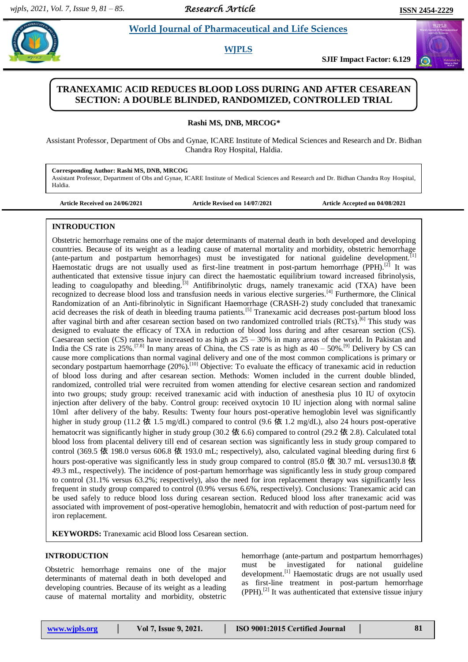# **Radio World Journal of Pharmaceutical and Life Sciences**

## **WJPLS**

**SJIF Impact Factor: 6.129**

# **TRANEXAMIC ACID REDUCES BLOOD LOSS DURING AND AFTER CESAREAN SECTION: A DOUBLE BLINDED, RANDOMIZED, CONTROLLED TRIAL www.wjpls.org**

**Rashi MS, DNB, MRCOG\***

Assistant Professor, Department of Obs and Gynae, ICARE Institute of Medical Sciences and Research and Dr. Bidhan Chandra Roy Hospital, Haldia.

**Corresponding Author: Rashi MS, DNB, MRCOG** Assistant Professor, Department of Obs and Gynae, ICARE Institute of Medical Sciences and Research and Dr. Bidhan Chandra Roy Hospital, Haldia.

**Article Received on 24/06/2021 Article Revised on 14/07/2021 Article Accepted on 04/08/2021**

## **INTRODUCTION**

Obstetric hemorrhage remains one of the major determinants of maternal death in both developed and developing countries. Because of its weight as a leading cause of maternal mortality and morbidity, obstetric hemorrhage (ante-partum and postpartum hemorrhages) must be investigated for national guideline development.<sup>[1]</sup> Haemostatic drugs are not usually used as first-line treatment in post-partum hemorrhage (PPH).<sup>[2]</sup> It was authenticated that extensive tissue injury can direct the haemostatic equilibrium toward increased fibrinolysis, leading to coagulopathy and bleeding.<sup>[3]</sup> Antifibrinolytic drugs, namely tranexamic acid (TXA) have been recognized to decrease blood loss and transfusion needs in various elective surgeries.[4] Furthermore, the Clinical Randomization of an Anti-fibrinolytic in Significant Haemorrhage (CRASH-2) study concluded that tranexamic acid decreases the risk of death in bleeding trauma patients.<sup>[5]</sup> Tranexamic acid decreases post-partum blood loss after vaginal birth and after cesarean section based on two randomized controlled trials (RCTs).<sup>[6]</sup> This study was designed to evaluate the efficacy of TXA in reduction of blood loss during and after cesarean section (CS). Caesarean section (CS) rates have increased to as high as  $25 - 30\%$  in many areas of the world. In Pakistan and India the CS rate is  $25\%$ .<sup>[7.8]</sup> In many areas of China, the CS rate is as high as  $40 - 50\%$ .<sup>[9]</sup> Delivery by CS can cause more complications than normal vaginal delivery and one of the most common complications is primary or secondary postpartum haemorrhage (20%).<sup>[10]</sup> Objective: To evaluate the efficacy of tranexamic acid in reduction of blood loss during and after cesarean section. Methods: Women included in the current double blinded, randomized, controlled trial were recruited from women attending for elective cesarean section and randomized into two groups; study group: received tranexamic acid with induction of anesthesia plus 10 IU of oxytocin injection after delivery of the baby. Control group: received oxytocin 10 IU injection along with normal saline 10ml after delivery of the baby. Results: Twenty four hours post-operative hemoglobin level was significantly higher in study group (11.2 依 1.5 mg/dL) compared to control (9.6 依 1.2 mg/dL), also 24 hours post-operative hematocrit was significantly higher in study group (30.2 依 6.6) compared to control (29.2 依 2.8). Calculated total blood loss from placental delivery till end of cesarean section was significantly less in study group compared to control (369.5 依 198.0 versus 606.8 依 193.0 mL; respectively), also, calculated vaginal bleeding during first 6 hours post-operative was significantly less in study group compared to control (85.0 依 30.7 mL versus130.8 依 49.3 mL, respectively). The incidence of post-partum hemorrhage was significantly less in study group compared to control (31.1% versus 63.2%; respectively), also the need for iron replacement therapy was significantly less frequent in study group compared to control (0.9% versus 6.6%, respectively). Conclusions: Tranexamic acid can be used safely to reduce blood loss during cesarean section. Reduced blood loss after tranexamic acid was associated with improvement of post-operative hemoglobin, hematocrit and with reduction of post-partum need for iron replacement.

**KEYWORDS:** Tranexamic acid Blood loss Cesarean section.

# **INTRODUCTION**

Obstetric hemorrhage remains one of the major determinants of maternal death in both developed and developing countries. Because of its weight as a leading cause of maternal mortality and morbidity, obstetric

hemorrhage (ante-partum and postpartum hemorrhages) must be investigated for national guideline development.<sup>[1]</sup> Haemostatic drugs are not usually used as first-line treatment in post-partum hemorrhage  $(PPH).$ <sup>[2]</sup> It was authenticated that extensive tissue injury

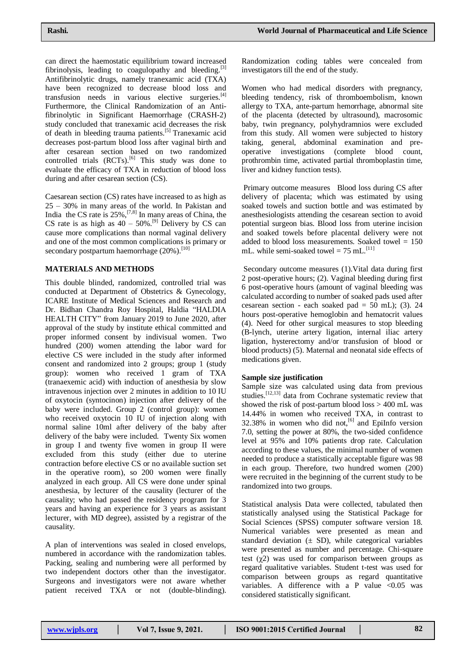can direct the haemostatic equilibrium toward increased fibrinolysis, leading to coagulopathy and bleeding.<sup>[3]</sup> Antifibrinolytic drugs, namely tranexamic acid (TXA) have been recognized to decrease blood loss and transfusion needs in various elective surgeries. $^{[4]}$ Furthermore, the Clinical Randomization of an Antifibrinolytic in Significant Haemorrhage (CRASH-2) study concluded that tranexamic acid decreases the risk of death in bleeding trauma patients.<sup>[5]</sup> Tranexamic acid decreases post-partum blood loss after vaginal birth and after cesarean section based on two randomized controlled trials  $(RCTs)$ .<sup>[6]</sup> This study was done to evaluate the efficacy of TXA in reduction of blood loss during and after cesarean section (CS).

Caesarean section (CS) rates have increased to as high as 25 – 30% in many areas of the world. In Pakistan and India the CS rate is  $25\%$ ,  $[7,8]$  In many areas of China, the CS rate is as high as  $40 - 50\%$ .<sup>[9]</sup> Delivery by CS can cause more complications than normal vaginal delivery and one of the most common complications is primary or secondary postpartum haemorrhage (20%).<sup>[10]</sup>

## **MATERIALS AND METHODS**

This double blinded, randomized, controlled trial was conducted at Department of Obstetrics & Gynecology, ICARE Institute of Medical Sciences and Research and Dr. Bidhan Chandra Roy Hospital, Haldia "HALDIA HEALTH CITY" from January 2019 to June 2020, after approval of the study by institute ethical committed and proper informed consent by indivisual women. Two hundred (200) women attending the labor ward for elective CS were included in the study after informed consent and randomized into 2 groups; group 1 (study group): women who received 1 gram of TXA (tranaexemic acid) with induction of anesthesia by slow intravenous injection over 2 minutes in addition to 10 IU of oxytocin (syntocinon) injection after delivery of the baby were included. Group 2 (control group): women who received oxytocin 10 IU of injection along with normal saline 10ml after delivery of the baby after delivery of the baby were included. Twenty Six women in group I and twenty five women in group II were excluded from this study (either due to uterine contraction before elective CS or no available suction set in the operative room), so 200 women were finally analyzed in each group. All CS were done under spinal anesthesia, by lecturer of the causality (lecturer of the causality; who had passed the residency program for 3 years and having an experience for 3 years as assistant lecturer, with MD degree), assisted by a registrar of the causality.

A plan of interventions was sealed in closed envelops, numbered in accordance with the randomization tables. Packing, sealing and numbering were all performed by two independent doctors other than the investigator. Surgeons and investigators were not aware whether patient received TXA or not (double-blinding).

Randomization coding tables were concealed from investigators till the end of the study.

Women who had medical disorders with pregnancy, bleeding tendency, risk of thromboembolism, known allergy to TXA, ante-partum hemorrhage, abnormal site of the placenta (detected by ultrasound), macrosomic baby, twin pregnancy, polyhydramnios were excluded from this study. All women were subjected to history taking, general, abdominal examination and preoperative investigations (complete blood count, prothrombin time, activated partial thromboplastin time, liver and kidney function tests).

Primary outcome measures Blood loss during CS after delivery of placenta; which was estimated by using soaked towels and suction bottle and was estimated by anesthesiologists attending the cesarean section to avoid potential surgeon bias. Blood loss from uterine incision and soaked towels before placental delivery were not added to blood loss measurements. Soaked towel = 150 mL. while semi-soaked towel =  $75$  mL.<sup>[11]</sup>

Secondary outcome measures (1).Vital data during first 2 post-operative hours; (2). Vaginal bleeding during first 6 post-operative hours (amount of vaginal bleeding was calculated according to number of soaked pads used after cesarean section - each soaked pad =  $50$  mL); (3). 24 hours post-operative hemoglobin and hematocrit values (4). Need for other surgical measures to stop bleeding (B-lynch, uterine artery ligation, internal iliac artery ligation, hysterectomy and/or transfusion of blood or blood products) (5). Maternal and neonatal side effects of medications given.

#### **Sample size justification**

Sample size was calculated using data from previous studies.<sup>[12,13]</sup> data from Cochrane systematic review that showed the risk of post-partum blood loss > 400 mL was 14.44% in women who received TXA, in contrast to 32.38% in women who did not, $[6]$  and EpiInfo version 7.0, setting the power at 80%, the two-sided confidence level at 95% and 10% patients drop rate. Calculation according to these values, the minimal number of women needed to produce a statistically acceptable figure was 98 in each group. Therefore, two hundred women (200) were recruited in the beginning of the current study to be randomized into two groups.

Statistical analysis Data were collected, tabulated then statistically analysed using the Statistical Package for Social Sciences (SPSS) computer software version 18. Numerical variables were presented as mean and standard deviation  $(\pm SD)$ , while categorical variables were presented as number and percentage. Chi-square test  $(\gamma 2)$  was used for comparison between groups as regard qualitative variables. Student t-test was used for comparison between groups as regard quantitative variables. A difference with a P value  $\leq 0.05$  was considered statistically significant.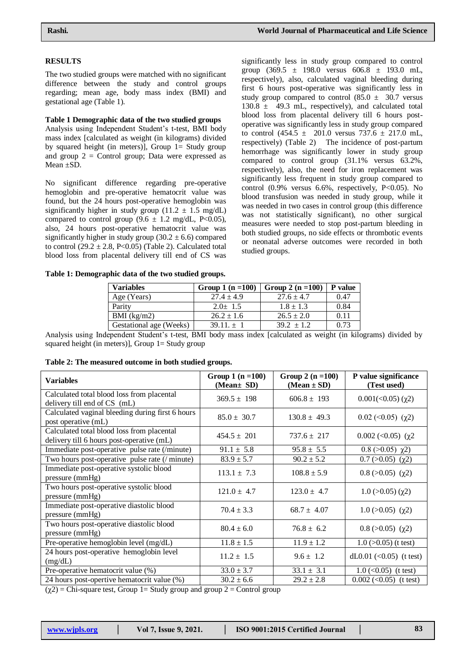# **RESULTS**

The two studied groups were matched with no significant difference between the study and control groups regarding; mean age, body mass index (BMI) and gestational age (Table 1).

# **Table 1 Demographic data of the two studied groups**

Analysis using Independent Student's t-test, BMI body mass index [calculated as weight (in kilograms) divided by squared height (in meters)], Group  $l =$  Study group and group  $2 =$  Control group; Data were expressed as Mean ±SD.

No significant difference regarding pre-operative hemoglobin and pre-operative hematocrit value was found, but the 24 hours post-operative hemoglobin was significantly higher in study group (11.2  $\pm$  1.5 mg/dL) compared to control group (9.6  $\pm$  1.2 mg/dL, P<0.05), also, 24 hours post-operative hematocrit value was significantly higher in study group  $(30.2 \pm 6.6)$  compared to control  $(29.2 \pm 2.8, P<0.05)$  (Table 2). Calculated total blood loss from placental delivery till end of CS was

**Table 1: Demographic data of the two studied groups.**

significantly less in study group compared to control group  $(369.5 \pm 198.0 \text{ versus } 606.8 \pm 193.0 \text{ mL}$ , respectively), also, calculated vaginal bleeding during first 6 hours post-operative was significantly less in study group compared to control  $(85.0 \pm 30.7 \text{ versus}$  $130.8 \pm 49.3$  mL, respectively), and calculated total blood loss from placental delivery till 6 hours postoperative was significantly less in study group compared to control  $(454.5 \pm 201.0 \text{ versus } 737.6 \pm 217.0 \text{ mL}$ , respectively) (Table 2) The incidence of post-partum hemorrhage was significantly lower in study group compared to control group (31.1% versus 63.2%, respectively), also, the need for iron replacement was significantly less frequent in study group compared to control  $(0.9\%$  versus 6.6%, respectively, P<0.05). No blood transfusion was needed in study group, while it was needed in two cases in control group (this difference was not statistically significant), no other surgical measures were needed to stop post-partum bleeding in both studied groups, no side effects or thrombotic events or neonatal adverse outcomes were recorded in both studied groups.

| <b>Variables</b>        | Group 1 $(n = 100)$ | Group 2 $(n = 100)$ | <b>P</b> value |
|-------------------------|---------------------|---------------------|----------------|
| Age (Years)             | $27.4 \pm 4.9$      | $27.6 \pm 4.7$      | 0.47           |
| Parity                  | $2.0+1.5$           | $1.8 \pm 1.3$       | 0.84           |
| BMI $(kg/m2)$           | $26.2 \pm 1.6$      | $26.5 \pm 2.0$      | 0.11           |
| Gestational age (Weeks) | $39.11 + 1$         | $39.2 + 1.2$        | 0.73           |

Analysis using Independent Student's t-test, BMI body mass index [calculated as weight (in kilograms) divided by squared height (in meters)], Group  $1 =$  Study group

| Table 2: The measured outcome in both studied groups. |  |  |  |
|-------------------------------------------------------|--|--|--|
|-------------------------------------------------------|--|--|--|

| <b>Variables</b>                                                                        | Group 1 $(n = 100)$<br>(Mean± SD) | Group 2 $(n = 100)$<br>$(Mean \pm SD)$ | P value significance<br>(Test used) |
|-----------------------------------------------------------------------------------------|-----------------------------------|----------------------------------------|-------------------------------------|
| Calculated total blood loss from placental<br>delivery till end of CS (mL)              | $369.5 \pm 198$                   | $606.8 \pm 193$                        | $0.001(\leq 0.05)$ ( $\chi$ 2)      |
| Calculated vaginal bleeding during first 6 hours<br>post operative (mL)                 | $85.0 \pm 30.7$                   | $130.8 \pm 49.3$                       | $0.02 \, (\leq 0.05) \, (\gamma 2)$ |
| Calculated total blood loss from placental<br>delivery till 6 hours post-operative (mL) | $454.5 \pm 201$                   | $737.6 \pm 217$                        | $0.002 \, (\text{0.05}) \, (\chi2)$ |
| Immediate post-operative pulse rate (/minute)                                           | $91.1 \pm 5.8$                    | $95.8 \pm 5.5$                         | $0.8$ ( $>0.05$ ) $\chi$ 2)         |
| Two hours post-operative pulse rate (/ minute)                                          | $83.9 \pm 5.7$                    | $90.2 \pm 5.2$                         | $0.7$ ( $>0.05$ ) ( $\chi$ 2)       |
| Immediate post-operative systolic blood<br>pressure (mmHg)                              | $113.1 \pm 7.3$                   | $108.8 \pm 5.9$                        | $0.8$ ( $>0.05$ ) ( $\chi$ 2)       |
| Two hours post-operative systolic blood<br>pressure (mmHg)                              | $121.0 \pm 4.7$                   | $123.0 \pm 4.7$                        | $1.0$ ( $>0.05$ ) ( $\chi$ 2)       |
| Immediate post-operative diastolic blood<br>pressure (mmHg)                             | $70.4 \pm 3.3$                    | $68.7 \pm 4.07$                        | $1.0$ ( $>0.05$ ) ( $\chi$ 2)       |
| Two hours post-operative diastolic blood<br>pressure (mmHg)                             | $80.4 \pm 6.0$                    | $76.8 \pm 6.2$                         | $0.8$ ( $>0.05$ ) ( $\chi$ 2)       |
| Pre-operative hemoglobin level (mg/dL)                                                  | $11.8 \pm 1.5$                    | $11.9 \pm 1.2$                         | $1.0$ ( $>0.05$ ) (t test)          |
| 24 hours post-operative hemoglobin level<br>(mg/dL)                                     | $11.2 \pm 1.5$                    | $9.6 \pm 1.2$                          | dL0.01 $(<0.05$ ) (t test)          |
| Pre-operative hematocrit value (%)                                                      | $33.0 \pm 3.7$                    | $33.1 \pm 3.1$                         | $1.0 \, \text{(-0.05)}$ (t test)    |
| 24 hours post-opertive hematocrit value (%)                                             | $30.2 \pm 6.6$                    | $29.2 \pm 2.8$                         | $0.002$ (< $0.05$ ) (t test)        |

 $(\gamma 2)$  = Chi-square test, Group 1 = Study group and group 2 = Control group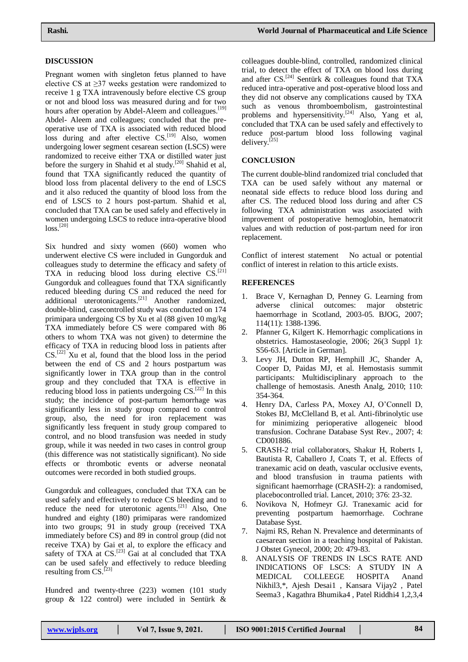# **DISCUSSION**

Pregnant women with singleton fetus planned to have elective CS at ≥37 weeks gestation were randomized to receive 1 g TXA intravenously before elective CS group or not and blood loss was measured during and for two hours after operation by Abdel-Aleem and colleagues.<sup>[19]</sup> Abdel- Aleem and colleagues; concluded that the preoperative use of TXA is associated with reduced blood loss during and after elective CS.<sup>[19]</sup> Also, women undergoing lower segment cesarean section (LSCS) were randomized to receive either TXA or distilled water just before the surgery in Shahid et al study.<sup>[20]</sup> Shahid et al, found that TXA significantly reduced the quantity of blood loss from placental delivery to the end of LSCS and it also reduced the quantity of blood loss from the end of LSCS to 2 hours post-partum. Shahid et al, concluded that TXA can be used safely and effectively in women undergoing LSCS to reduce intra-operative blood  $loss.<sup>[20]</sup>$ 

Six hundred and sixty women (660) women who underwent elective CS were included in Gungorduk and colleagues study to determine the efficacy and safety of TXA in reducing blood loss during elective CS.<sup>[21]</sup> Gungorduk and colleagues found that TXA significantly reduced bleeding during CS and reduced the need for additional uterotonicagents.<sup>[21]</sup> Another randomized, double-blind, casecontrolled study was conducted on 174 primipara undergoing CS by Xu et al (88 given 10 mg/kg TXA immediately before CS were compared with 86 others to whom TXA was not given) to determine the efficacy of TXA in reducing blood loss in patients after  $CS$ .<sup>[22]</sup> Xu et al, found that the blood loss in the period between the end of CS and 2 hours postpartum was significantly lower in TXA group than in the control group and they concluded that TXA is effective in reducing blood loss in patients undergoing CS.<sup>[22]</sup> In this study; the incidence of post-partum hemorrhage was significantly less in study group compared to control group, also, the need for iron replacement was significantly less frequent in study group compared to control, and no blood transfusion was needed in study group, while it was needed in two cases in control group (this difference was not statistically significant). No side effects or thrombotic events or adverse neonatal outcomes were recorded in both studied groups.

Gungorduk and colleagues, concluded that TXA can be used safely and effectively to reduce CS bleeding and to reduce the need for uterotonic agents.<sup>[21]</sup> Also, One hundred and eighty (180) primiparas were randomized into two groups; 91 in study group (received TXA immediately before CS) and 89 in control group (did not receive TXA) by Gai et al, to explore the efficacy and safety of TXA at  $CS$ .<sup>[23]</sup> Gai at al concluded that TXA can be used safely and effectively to reduce bleeding resulting from CS.<sup>[23]</sup>

Hundred and twenty-three (223) women (101 study group & 122 control) were included in Sentürk &

colleagues double-blind, controlled, randomized clinical trial, to detect the effect of TXA on blood loss during and after CS.<sup>[24]</sup> Sentürk & colleagues found that TXA reduced intra-operative and post-operative blood loss and they did not observe any complications caused by TXA such as venous thromboembolism, gastrointestinal problems and hypersensitivity.<sup>[24]</sup> Also, Yang et al, concluded that TXA can be used safely and effectively to reduce post-partum blood loss following vaginal delivery.[25]

#### **CONCLUSION**

The current double-blind randomized trial concluded that TXA can be used safely without any maternal or neonatal side effects to reduce blood loss during and after CS. The reduced blood loss during and after CS following TXA administration was associated with improvement of postoperative hemoglobin, hematocrit values and with reduction of post-partum need for iron replacement.

Conflict of interest statement No actual or potential conflict of interest in relation to this article exists.

#### **REFERENCES**

- 1. Brace V, Kernaghan D, Penney G. Learning from adverse clinical outcomes: major obstetric haemorrhage in Scotland, 2003-05. BJOG, 2007; 114(11): 1388-1396.
- 2. Pfanner G, Kilgert K. Hemorrhagic complications in obstetrics. Hamostaseologie, 2006; 26(3 Suppl 1): S56-63. [Article in German].
- 3. Levy JH, Dutton RP, Hemphill JC, Shander A, Cooper D, Paidas MJ, et al. Hemostasis summit participants: Multidisciplinary approach to the challenge of hemostasis. Anesth Analg, 2010; 110: 354-364.
- 4. Henry DA, Carless PA, Moxey AJ, O'Connell D, Stokes BJ, McClelland B, et al. Anti-fibrinolytic use for minimizing perioperative allogeneic blood transfusion. Cochrane Database Syst Rev., 2007; 4: CD001886.
- 5. CRASH-2 trial collaborators, Shakur H, Roberts I, Bautista R, Caballero J, Coats T, et al. Effects of tranexamic acid on death, vascular occlusive events, and blood transfusion in trauma patients with significant haemorrhage (CRASH-2): a randomised, placebocontrolled trial. Lancet, 2010; 376: 23-32.
- 6. Novikova N, Hofmeyr GJ. Tranexamic acid for preventing postpartum haemorrhage. Cochrane Database Syst.
- 7. Najmi RS, Rehan N. Prevalence and determinants of caesarean section in a teaching hospital of Pakistan. J Obstet Gynecol, 2000; 20: 479-83.
- 8. ANALYSIS OF TRENDS IN LSCS RATE AND INDICATIONS OF LSCS: A STUDY IN A MEDICAL COLLEEGE HOSPITA Anand Nikhil3,\*, Ajesh Desai1 , Kansara Vijay2 , Patel Seema3 , Kagathra Bhumika4 , Patel Riddhi4 1,2,3,4